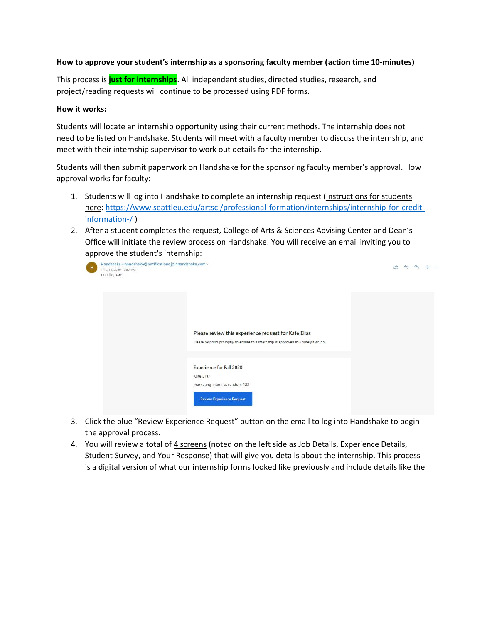## **How to approve your student's internship as a sponsoring faculty member (action time 10-minutes)**

This process is **just for internships**. All independent studies, directed studies, research, and project/reading requests will continue to be processed using PDF forms.

## **How it works:**

Students will locate an internship opportunity using their current methods. The internship does not need to be listed on Handshake. Students will meet with a faculty member to discuss the internship, and meet with their internship supervisor to work out details for the internship.

Students will then submit paperwork on Handshake for the sponsoring faculty member's approval. How approval works for faculty:

- 1. Students will log into Handshake to complete an internship request (instructions for students here: [https://www.seattleu.edu/artsci/professional-formation/internships/internship-for-credit](https://www.seattleu.edu/artsci/professional-formation/internships/internship-for-credit-information-/)[information-/](https://www.seattleu.edu/artsci/professional-formation/internships/internship-for-credit-information-/) )
- 2. After a student completes the request, College of Arts & Sciences Advising Center and Dean's Office will initiate the review process on Handshake. You will receive an email inviting you to approve the student's internship:

| Handshake <handshake@notifications.joinhandshake.com><br/>Fri 9/11/2020 12:57 PM<br/>To: Elias, Kate</handshake@notifications.joinhandshake.com> |                                                                                                                                            | $\rightarrow$ | 64. |  |
|--------------------------------------------------------------------------------------------------------------------------------------------------|--------------------------------------------------------------------------------------------------------------------------------------------|---------------|-----|--|
|                                                                                                                                                  |                                                                                                                                            |               |     |  |
|                                                                                                                                                  | Please review this experience request for Kate Elias<br>Please respond promptly to ensure this internship is approved in a timely fashion. |               |     |  |
|                                                                                                                                                  | <b>Experience for Fall 2020</b><br>Kate Elias<br>marketing intern at random 123<br><b>Review Experience Request</b>                        |               |     |  |

- 3. Click the blue "Review Experience Request" button on the email to log into Handshake to begin the approval process.
- 4. You will review a total of 4 screens (noted on the left side as Job Details, Experience Details, Student Survey, and Your Response) that will give you details about the internship. This process is a digital version of what our internship forms looked like previously and include details like the